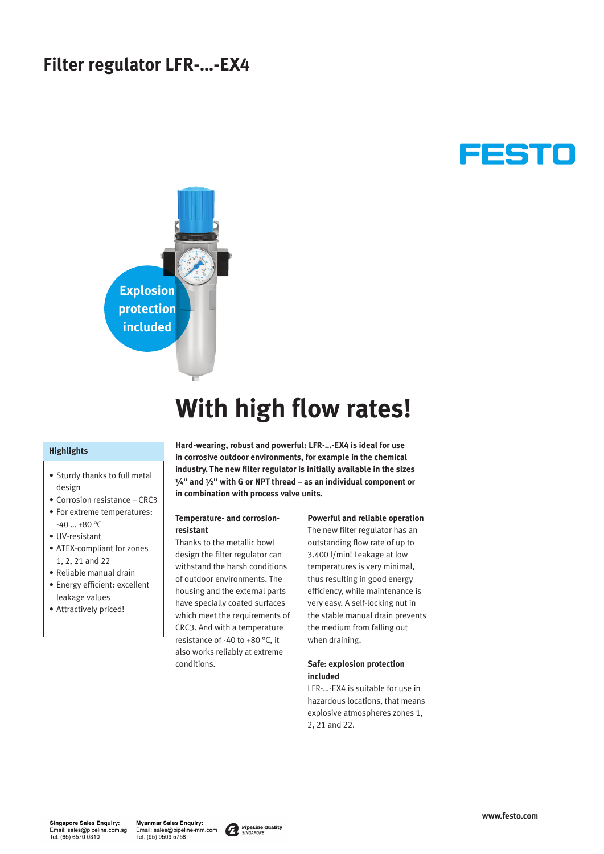# **Filter regulator LFR-…-EX4**





# **With high flow rates!**

## **Highlights**

- Sturdy thanks to full metal design
- Corrosion resistance CRC3
- For extreme temperatures:  $-40$  ...  $+80$  °C
- UV-resistant
- ATEX-compliant for zones 1, 2, 21 and 22
- Reliable manual drain
- Energy efficient: excellent leakage values
- Attractively priced!

**Hard-wearing, robust and powerful: LFR-…-EX4 is ideal for use in corrosive outdoor environments, for example in the chemical industry. The new filter regulator is initially available in the sizes ¼" and ½" with G or NPT thread – as an individual component or in combination with process valve units.**

### **Temperature- and corrosionresistant**

Thanks to the metallic bowl design the filter regulator can withstand the harsh conditions of outdoor environments. The housing and the external parts have specially coated surfaces which meet the requirements of CRC3. And with a temperature resistance of -40 to +80 °C, it also works reliably at extreme conditions.

#### **Powerful and reliable operation**

The new filter regulator has an outstanding flow rate of up to 3.400 l/min! Leakage at low temperatures is very minimal, thus resulting in good energy efficiency, while maintenance is very easy. A self-locking nut in the stable manual drain prevents the medium from falling out when draining.

# **Safe: explosion protection included**

LFR-…-EX4 is suitable for use in hazardous locations, that means explosive atmospheres zones 1, 2, 21 and 22.

**Myanmar Sales Enquiry:** Email: sales@pipeline-mm.com<br>Tel: (95) 9509 5758